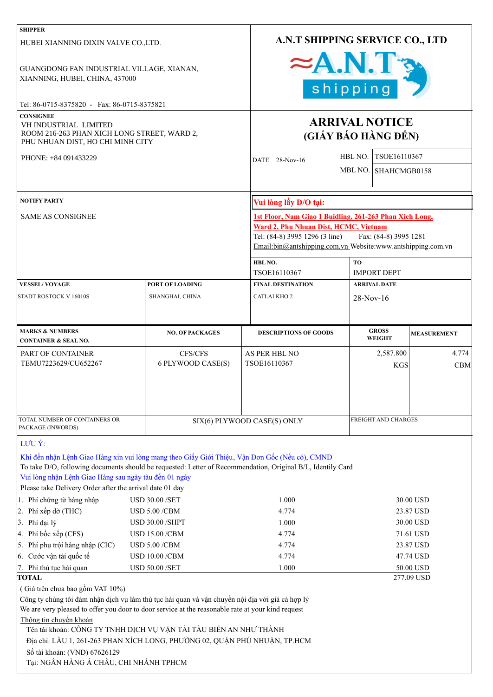| <b>SHIPPER</b>                                                                                                                     |                                               |                                                                                                  |                                 |                        |  |  |  |  |  |
|------------------------------------------------------------------------------------------------------------------------------------|-----------------------------------------------|--------------------------------------------------------------------------------------------------|---------------------------------|------------------------|--|--|--|--|--|
| HUBEI XIANNING DIXIN VALVE CO., LTD.                                                                                               |                                               |                                                                                                  | A.N.T SHIPPING SERVICE CO., LTD |                        |  |  |  |  |  |
|                                                                                                                                    |                                               |                                                                                                  |                                 |                        |  |  |  |  |  |
| GUANGDONG FAN INDUSTRIAL VILLAGE, XIANAN,                                                                                          |                                               |                                                                                                  | $\approx$ A.N.T                 |                        |  |  |  |  |  |
| XIANNING, HUBEI, CHINA, 437000                                                                                                     |                                               |                                                                                                  |                                 |                        |  |  |  |  |  |
|                                                                                                                                    |                                               |                                                                                                  | shipping                        |                        |  |  |  |  |  |
| Tel: 86-0715-8375820 - Fax: 86-0715-8375821                                                                                        |                                               |                                                                                                  |                                 |                        |  |  |  |  |  |
| <b>CONSIGNEE</b>                                                                                                                   |                                               |                                                                                                  |                                 |                        |  |  |  |  |  |
| VH INDUSTRIAL LIMITED                                                                                                              |                                               |                                                                                                  | <b>ARRIVAL NOTICE</b>           |                        |  |  |  |  |  |
| ROOM 216-263 PHAN XICH LONG STREET, WARD 2,<br>PHU NHUAN DIST, HO CHI MINH CITY                                                    |                                               |                                                                                                  | (GIÁY BÁO HÀNG ĐẾN)             |                        |  |  |  |  |  |
|                                                                                                                                    |                                               |                                                                                                  | HBL NO.   TSOE16110367          |                        |  |  |  |  |  |
| PHONE: +84 091433229                                                                                                               |                                               | DATE 28-Nov-16                                                                                   |                                 |                        |  |  |  |  |  |
|                                                                                                                                    |                                               |                                                                                                  | MBL NO. SHAHCMGB0158            |                        |  |  |  |  |  |
| <b>NOTIFY PARTY</b>                                                                                                                |                                               | Vui lòng lấy D/O tại:                                                                            |                                 |                        |  |  |  |  |  |
|                                                                                                                                    |                                               |                                                                                                  |                                 |                        |  |  |  |  |  |
| <b>SAME AS CONSIGNEE</b>                                                                                                           |                                               | 1st Floor, Nam Giao 1 Buidling, 261-263 Phan Xich Long,<br>Ward 2, Phu Nhuan Dist, HCMC, Vietnam |                                 |                        |  |  |  |  |  |
|                                                                                                                                    |                                               | Tel: (84-8) 3995 1296 (3 line)                                                                   | Fax: (84-8) 3995 1281           |                        |  |  |  |  |  |
|                                                                                                                                    |                                               | Email:bin@antshipping.com.vn Website:www.antshipping.com.vn                                      |                                 |                        |  |  |  |  |  |
|                                                                                                                                    |                                               | HBL NO.                                                                                          | TO                              |                        |  |  |  |  |  |
|                                                                                                                                    |                                               | TSOE16110367                                                                                     | <b>IMPORT DEPT</b>              |                        |  |  |  |  |  |
| <b>VESSEL/VOYAGE</b>                                                                                                               | PORT OF LOADING                               | <b>FINAL DESTINATION</b>                                                                         | <b>ARRIVAL DATE</b>             |                        |  |  |  |  |  |
| STADT ROSTOCK V.16010S                                                                                                             | SHANGHAI, CHINA                               | <b>CATLAI KHO 2</b>                                                                              | $28-Nov-16$                     |                        |  |  |  |  |  |
|                                                                                                                                    |                                               |                                                                                                  |                                 |                        |  |  |  |  |  |
| <b>MARKS &amp; NUMBERS</b>                                                                                                         |                                               |                                                                                                  | <b>GROSS</b>                    |                        |  |  |  |  |  |
| <b>CONTAINER &amp; SEAL NO.</b>                                                                                                    | <b>NO. OF PACKAGES</b>                        | <b>DESCRIPTIONS OF GOODS</b>                                                                     | <b>WEIGHT</b>                   | <b>MEASUREMENT</b>     |  |  |  |  |  |
| PART OF CONTAINER                                                                                                                  | CFS/CFS                                       | AS PER HBL NO                                                                                    | 2,587.800                       | 4.774                  |  |  |  |  |  |
| TEMU7223629/CU652267                                                                                                               | 6 PLYWOOD CASE(S)                             | TSOE16110367                                                                                     | KGS                             | <b>CBM</b>             |  |  |  |  |  |
|                                                                                                                                    |                                               |                                                                                                  |                                 |                        |  |  |  |  |  |
|                                                                                                                                    |                                               |                                                                                                  |                                 |                        |  |  |  |  |  |
|                                                                                                                                    |                                               |                                                                                                  |                                 |                        |  |  |  |  |  |
| TOTAL NUMBER OF CONTAINERS OR                                                                                                      |                                               | SIX(6) PLYWOOD CASE(S) ONLY                                                                      | FREIGHT AND CHARGES             |                        |  |  |  |  |  |
| PACKAGE (INWORDS)                                                                                                                  |                                               |                                                                                                  |                                 |                        |  |  |  |  |  |
| LUU Ý:                                                                                                                             |                                               |                                                                                                  |                                 |                        |  |  |  |  |  |
| Khi đến nhận Lệnh Giao Hàng xin vui lòng mang theo Giấy Giới Thiệu, Vận Đơn Gốc (Nếu có), CMND                                     |                                               |                                                                                                  |                                 |                        |  |  |  |  |  |
| To take D/O, following documents should be requested: Letter of Recommendation, Original B/L, Identily Card                        |                                               |                                                                                                  |                                 |                        |  |  |  |  |  |
| Vui lòng nhận Lệnh Giao Hàng sau ngày tàu đến 01 ngày                                                                              |                                               |                                                                                                  |                                 |                        |  |  |  |  |  |
| Please take Delivery Order after the arrival date 01 day                                                                           |                                               |                                                                                                  |                                 |                        |  |  |  |  |  |
| 1. Phí chứng từ hàng nhập<br>Phí xếp dỡ (THC)<br>2.                                                                                | <b>USD 30.00 /SET</b><br><b>USD 5.00 /CBM</b> | 1.000<br>4.774                                                                                   |                                 | 30.00 USD<br>23.87 USD |  |  |  |  |  |
| 3.<br>Phí đại lý                                                                                                                   | <b>USD 30.00 /SHPT</b>                        | 1.000                                                                                            |                                 | 30.00 USD              |  |  |  |  |  |
| $\vert 4. \vert$ Phí bốc xếp (CFS)                                                                                                 | <b>USD 15.00 /CBM</b>                         | 4.774                                                                                            |                                 | 71.61 USD              |  |  |  |  |  |
| Phí phụ trội hàng nhập (CIC)<br>15.                                                                                                | <b>USD 5.00 /CBM</b>                          | 4.774                                                                                            |                                 | 23.87 USD              |  |  |  |  |  |
| 6. Cước vận tải quốc tế                                                                                                            | <b>USD 10.00 /CBM</b>                         | 4.774                                                                                            | 47.74 USD                       |                        |  |  |  |  |  |
| Phí thủ tục hải quan<br>7.                                                                                                         | <b>USD 50.00 /SET</b>                         | 1.000                                                                                            | 50.00 USD                       |                        |  |  |  |  |  |
| <b>TOTAL</b>                                                                                                                       |                                               |                                                                                                  |                                 | 277.09 USD             |  |  |  |  |  |
| (Giá trên chưa bao gồm VAT 10%)<br>Công ty chúng tôi đảm nhận dịch vụ làm thủ tục hải quan và vận chuyển nội địa với giá cả hợp lý |                                               |                                                                                                  |                                 |                        |  |  |  |  |  |
| We are very pleased to offer you door to door service at the reasonable rate at your kind request                                  |                                               |                                                                                                  |                                 |                        |  |  |  |  |  |
| Thông tin chuyển khoản                                                                                                             |                                               |                                                                                                  |                                 |                        |  |  |  |  |  |
| Tên tài khoản: CÔNG TY TNHH DỊCH VỤ VẬN TẢI TÀU BIỂN AN NHƯ THÀNH                                                                  |                                               |                                                                                                  |                                 |                        |  |  |  |  |  |
| Địa chỉ: LẦU 1, 261-263 PHAN XÍCH LONG, PHƯỜNG 02, QUẬN PHÚ NHUẬN, TP.HCM                                                          |                                               |                                                                                                  |                                 |                        |  |  |  |  |  |
| Số tài khoản: (VND) 67626129                                                                                                       |                                               |                                                                                                  |                                 |                        |  |  |  |  |  |
| Tại: NGÂN HÀNG Á CHÂU, CHI NHÁNH TPHCM                                                                                             |                                               |                                                                                                  |                                 |                        |  |  |  |  |  |
|                                                                                                                                    |                                               |                                                                                                  |                                 |                        |  |  |  |  |  |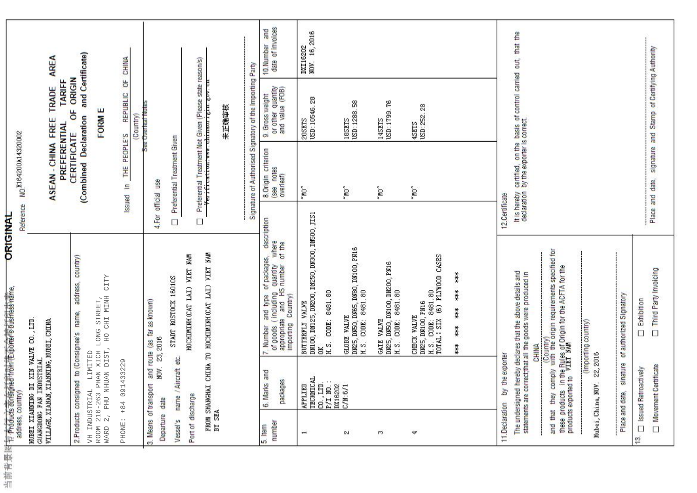|                        | <b>AREA</b>                                                                                                                       |                                                                                                                                                         | CHINA                              |                                                 |                              |                                                                                              |       |                                                          | date of invoices<br>and<br>10. Number                                                                                                                                                                | DXI16202<br>NOV. 16,2016                                                                                                                                                                                                                                                                                                                                                                                                                                             |                                                                                       |                                                                      |                                                                                                           |                                |                    |                                                                                                                   |                                                                                                                                 |                                |                             |                                                             |                             |
|------------------------|-----------------------------------------------------------------------------------------------------------------------------------|---------------------------------------------------------------------------------------------------------------------------------------------------------|------------------------------------|-------------------------------------------------|------------------------------|----------------------------------------------------------------------------------------------|-------|----------------------------------------------------------|------------------------------------------------------------------------------------------------------------------------------------------------------------------------------------------------------|----------------------------------------------------------------------------------------------------------------------------------------------------------------------------------------------------------------------------------------------------------------------------------------------------------------------------------------------------------------------------------------------------------------------------------------------------------------------|---------------------------------------------------------------------------------------|----------------------------------------------------------------------|-----------------------------------------------------------------------------------------------------------|--------------------------------|--------------------|-------------------------------------------------------------------------------------------------------------------|---------------------------------------------------------------------------------------------------------------------------------|--------------------------------|-----------------------------|-------------------------------------------------------------|-----------------------------|
|                        | <b>TARIFF</b>                                                                                                                     | and Certificate)<br>ORIGIN<br>$\overline{5}$<br>FORM E                                                                                                  | 5<br>REPUBLIC<br>(Country)         | See Overteal Notes                              |                              |                                                                                              | 未正确审核 |                                                          | or other quantity<br>and value (FOB)<br>9. Gross weight                                                                                                                                              | 20SETS<br>USD:10546.28                                                                                                                                                                                                                                                                                                                                                                                                                                               | 183ETS<br>USD:1288.58                                                                 | 14SETS<br>USD:1799.76                                                | USD: 252.28<br>4SETS                                                                                      |                                |                    | certified, on the basis of control carried out, that the<br>by the exporter is correct.                           |                                                                                                                                 |                                |                             |                                                             |                             |
|                        | ASEAN-CHINA FREE TRADE<br>PREFERENTIAL<br>NO.E164200A14320002                                                                     | (Combined Declaration<br>CERTIFICATE                                                                                                                    | THE PEOPLE'S<br>$\equiv$<br>Issued | use                                             | Preferential Treatment Given | Preferential Treatment Not Given (Please state reason/s)<br>ification:www.chinaorigin.       |       | Signature of Authorised Signatory of the Importing Party | 8. Origin criterion<br>(see notes<br>overleaf)<br>(see                                                                                                                                               | ~0‰                                                                                                                                                                                                                                                                                                                                                                                                                                                                  | ~0‰                                                                                   | $\sim$ OM $_{\sim}$                                                  | $\omega_{\rm{dM}_{\rm{av}}}$                                                                              |                                |                    | It is hereby<br>declaration                                                                                       |                                                                                                                                 |                                |                             | Place and date, signature and Stamp of Certifying Authority |                             |
| <b>ORIGINAL</b>        | Reference                                                                                                                         |                                                                                                                                                         |                                    | 4.For official                                  | $\Box$                       | Π                                                                                            |       |                                                          | description<br>where                                                                                                                                                                                 |                                                                                                                                                                                                                                                                                                                                                                                                                                                                      |                                                                                       |                                                                      |                                                                                                           |                                | 12.Certificate     |                                                                                                                   |                                                                                                                                 |                                |                             |                                                             |                             |
| 当前背景图有本质志商标的特征态流传话信息清单 |                                                                                                                                   | address, country)<br><b>CITY</b><br>NINH<br>STREET,<br>name,<br>CHI                                                                                     |                                    | far as known)<br>23, 2016<br>8                  | STADT ROSTOCK 16010S         | FROM SHANGHAI CHINA TO HOCHIMINH(CAT LAI) VIET NAM<br>BY SEA<br>HOCHIMINH (CAT LAI) VIET NAM |       |                                                          | 7. Number and type of packages, design of goods (including quantity where<br>of goods (including quantity where<br>appropriate and HS number of the<br>e and H <sup>e</sup><br>Country)<br>importing | DM100, DM125, DM200, DM250, DM300, DM500, JIS1<br>CODE: 8481.80<br><b>VALVE</b><br>BUTTERFLY<br>H.S.<br>¥                                                                                                                                                                                                                                                                                                                                                            | DN25, DN50, DN65, DN80, DN100, PN16<br>8481.80<br><b>GLOBE VALVE</b><br>CODE:<br>H.S. | GATE VALVE<br>DN25, DN50, DN100, DN200, PN16<br>H. S. CODE: 8481. 80 | H.S. CODE: 8481.80<br>TOTAL: SIX (6) FLYWOOD CASES<br>DNZ5, DN100, PN16<br>H.S. CODE: 8481<br>CHECK VALVE | ××<br>***<br>***<br>***<br>*** |                    | hereby declares that the above details and<br>statements are correct;that all the goods were produced in<br>CHINA | (Country)<br>comply with the origin requirements specified for<br>in the Rules of Origin for the ACFTA for the<br>d to VIET NAM | (importing country)            | of authorized Signatory     | Third Party Invoicing<br>Exhibition<br>$\Box$<br>Ω          |                             |
|                        | HUBEI XIANNING DI XIN VALVE CO., LTD.<br>GUANGDONG FAN INDUSTRIAL<br>VILLAGE, XIANAN, XIANNING, HUBEI, CHINA<br>address, country) | $5-263$ PHAN XICH LONG<br>PHU NHUAN DIST, HO (<br>2. Products consigned to (Consignee's<br>LIMITED<br>VH INDUSTRIAL<br>ROOM 216-263 P<br>WARD 2, PHU NH | +84 091433229                      | 3. Means of transport and route<br>NOV.<br>date | Aircraft etc.<br>name        |                                                                                              |       |                                                          | 6. Marks and<br>packages                                                                                                                                                                             | $\begin{array}{ll} \texttt{AFLLED} \\ \texttt{TCMTCAL} \\ \texttt{DC}, \texttt{LD}, \\ \texttt{D1}, \texttt{ID}, \\ \texttt{D2}, \texttt{ID}, \\ \texttt{D1}, \texttt{B2}, \\ \texttt{D2}, \\ \texttt{D3}, \\ \texttt{D4}, \\ \texttt{D5}, \\ \texttt{D6}, \\ \texttt{D7}, \\ \texttt{D4}, \\ \texttt{D5}, \\ \texttt{D6}, \\ \texttt{D7}, \\ \texttt{D8}, \\ \texttt{D9}, \\ \texttt{D1}, \\ \texttt{D1}, \\ \texttt{D2}, \\ \texttt{D1}, \\ \texttt{D2}, \\ \text$ |                                                                                       |                                                                      |                                                                                                           |                                | the exporter<br>χã | The undersigned                                                                                                   | these products in th<br>products exported to<br>and that they                                                                   | 22, 2016<br>Hubei, China, NOV. | sinature<br>Place and date, | <b>Issued Retroactively</b>                                 | <b>Movement Certificate</b> |
|                        |                                                                                                                                   |                                                                                                                                                         | PHONE:                             | Departure                                       | Vessel's                     | Port of discharge                                                                            |       |                                                          | number<br>5. ltem                                                                                                                                                                                    | $\overline{\phantom{a}}$                                                                                                                                                                                                                                                                                                                                                                                                                                             | $\sim$                                                                                | S                                                                    | $\Delta_{\rm h}$                                                                                          |                                | 11.Declaration     |                                                                                                                   |                                                                                                                                 |                                |                             | C<br>55                                                     | $\Box$                      |
|                        |                                                                                                                                   |                                                                                                                                                         |                                    |                                                 |                              |                                                                                              |       |                                                          |                                                                                                                                                                                                      |                                                                                                                                                                                                                                                                                                                                                                                                                                                                      |                                                                                       |                                                                      |                                                                                                           |                                |                    |                                                                                                                   |                                                                                                                                 |                                |                             |                                                             |                             |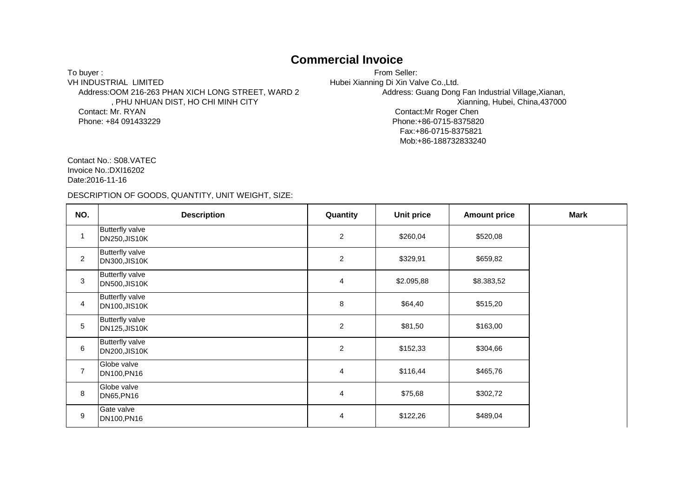# **Commercial Invoice**

To buyer :<br>VH INDUSTRIAL LIMITED THE STATE SERIES TO HUBE STATE STATE STATE OF THE STATE STATE OF THE STATE STATE OF THE<br>Hubei Xianning Di Xin Va Address:OOM 216-263 PHAN XICH LONG STREET, WARD 2 Address: Guang Dong Fan Industrial Village, Xianan,<br>PHU NHUAN DIST, HO CHI MINH CITY And Translang, Aubei, China, 437000 , PHU NHUAN DIST, HO CHI MINH CITY<br>Contact: Mr. RYAN Phone: +84 091433229 Phone:+86-0715-8375820

Hubei Xianning Di Xin Valve Co.,Ltd.<br>Address: Guang Dong Fan Industrial Village, Xianan, Contact: Mr Roger Chen Fax:+86-0715-8375821 Mob:+86-188732833240

Contact No.: S08.VATEC Invoice No.:DXI16202 Date:2016-11-16

## DESCRIPTION OF GOODS, QUANTITY, UNIT WEIGHT, SIZE:

| NO.                     | <b>Description</b>                            | Quantity       | <b>Unit price</b> | <b>Amount price</b> | <b>Mark</b> |
|-------------------------|-----------------------------------------------|----------------|-------------------|---------------------|-------------|
| $\mathbf{1}$            | <b>Butterfly valve</b><br><b>DN250,JIS10K</b> | $\overline{a}$ | \$260,04          | \$520,08            |             |
| $\sqrt{2}$              | <b>Butterfly valve</b><br><b>DN300,JIS10K</b> | $\overline{2}$ | \$329,91          | \$659,82            |             |
| $\sqrt{3}$              | <b>Butterfly valve</b><br><b>DN500,JIS10K</b> | $\overline{4}$ | \$2.095,88        | \$8.383,52          |             |
| $\overline{\mathbf{4}}$ | <b>Butterfly valve</b><br>DN100, JIS10K       | 8              | \$64,40           | \$515,20            |             |
| 5                       | <b>Butterfly valve</b><br><b>DN125,JIS10K</b> | $\overline{2}$ | \$81,50           | \$163,00            |             |
| $\,6\,$                 | <b>Butterfly valve</b><br><b>DN200,JIS10K</b> | $\overline{2}$ | \$152,33          | \$304,66            |             |
| $\overline{7}$          | Globe valve<br>DN100, PN16                    | 4              | \$116,44          | \$465,76            |             |
| $\,8\,$                 | Globe valve<br><b>DN65, PN16</b>              | $\overline{4}$ | \$75,68           | \$302,72            |             |
| $\boldsymbol{9}$        | Gate valve<br>DN100, PN16                     | 4              | \$122,26          | \$489,04            |             |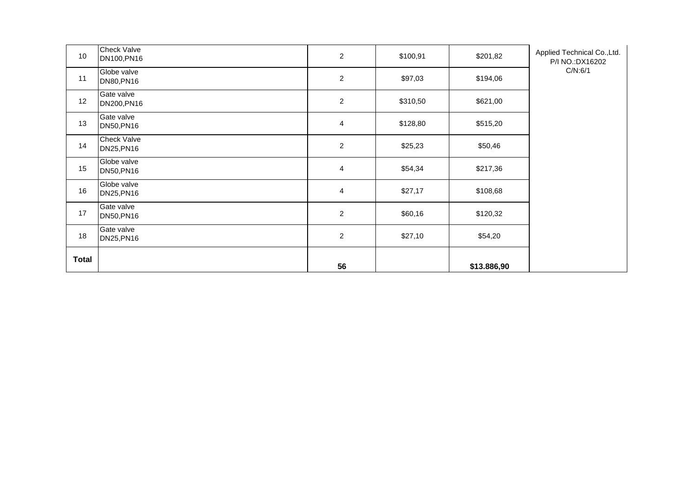| 10           | <b>Check Valve</b><br>DN100, PN16 | $\overline{2}$ | \$100,91 | \$201,82    | Applied Technical Co., Ltd.<br>P/I NO.:DX16202 |
|--------------|-----------------------------------|----------------|----------|-------------|------------------------------------------------|
| 11           | Globe valve<br>DN80, PN16         | $\overline{2}$ | \$97,03  | \$194,06    | C/N:6/1                                        |
| 12           | Gate valve<br>DN200, PN16         | $\overline{2}$ | \$310,50 | \$621,00    |                                                |
| 13           | Gate valve<br>DN50, PN16          | $\overline{4}$ | \$128,80 | \$515,20    |                                                |
| 14           | Check Valve<br>DN25, PN16         | $\overline{2}$ | \$25,23  | \$50,46     |                                                |
| 15           | Globe valve<br>DN50, PN16         | $\overline{4}$ | \$54,34  | \$217,36    |                                                |
| 16           | Globe valve<br>DN25, PN16         | $\overline{4}$ | \$27,17  | \$108,68    |                                                |
| 17           | Gate valve<br>DN50, PN16          | $\overline{2}$ | \$60,16  | \$120,32    |                                                |
| 18           | Gate valve<br>DN25, PN16          | $\overline{2}$ | \$27,10  | \$54,20     |                                                |
| <b>Total</b> |                                   | 56             |          | \$13.886,90 |                                                |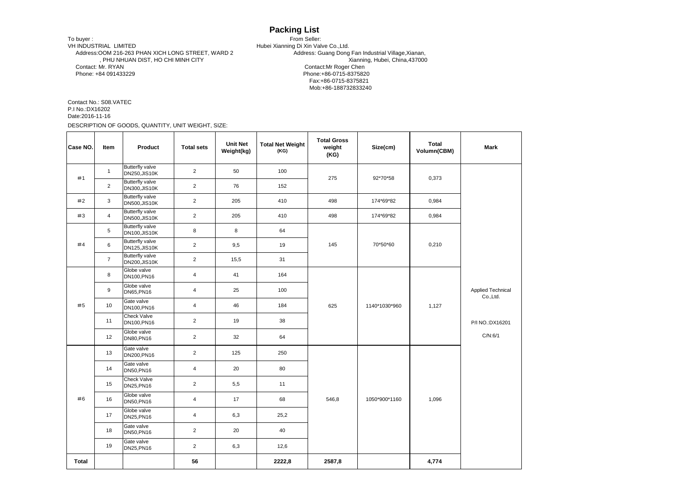## **Packing List**

To buyer : From Seller:<br>
VH INDUSTRIAL LIMITED THE STATE SERVER THE SERVER THE STATE STATE OF SCIENCE THE STATE OF SCIENCE STATE OF SC<br>
Hubei Xianning Di Xin Values , PHU NHUAN DIST, HO CHI MINH CITY<br>Contact: Mr. RYAN Contact: Mr. RYAN Contact:Mr Roger Chen

Hubei Xianning Di Xin Valve Co.,Ltd.<br>Address: Guang Dong Fan Industrial Village, Xianan, Address:OOM 216-263 PHAN XICH LONG STREET, WARD 2<br>Address: Guang Dong Fan Industrial Village, Xianan,<br>Xianning, Hubei, China, 437000 , PHU NHUAN DIST, HO CHI MINH CITY Phone: +84 091433229 Phone:+86-0715-8375820 Fax:+86-0715-8375821 Mob:+86-188732833240

DESCRIPTION OF GOODS, QUANTITY, UNIT WEIGHT, SIZE: Contact No.: S08.VATEC P.I No.:DX16202 Date:2016-11-16

| Case NO.     | Item           | Product                                       | <b>Total sets</b> | <b>Unit Net</b><br>Weight(kg) | <b>Total Net Weight</b><br>(KG) | <b>Total Gross</b><br>weight<br>(KG) | Size(cm)      | Total<br>Volumn(CBM) | Mark                                                          |
|--------------|----------------|-----------------------------------------------|-------------------|-------------------------------|---------------------------------|--------------------------------------|---------------|----------------------|---------------------------------------------------------------|
| #1           | $\mathbf{1}$   | <b>Butterfly valve</b><br><b>DN250,JIS10K</b> | $\overline{2}$    | 50                            | 100                             | 275                                  | 92*70*58      | 0,373                |                                                               |
|              | $\overline{2}$ | <b>Butterfly valve</b><br><b>DN300,JIS10K</b> | $\overline{2}$    | 76                            | 152                             |                                      |               |                      |                                                               |
| #2           | 3              | <b>Butterfly valve</b><br><b>DN500,JIS10K</b> | $\overline{2}$    | 205                           | 410                             | 498                                  | 174*69*82     | 0,984                |                                                               |
| #3           | $\overline{4}$ | <b>Butterfly valve</b><br><b>DN500,JIS10K</b> | $\overline{2}$    | 205                           | 410                             | 498                                  | 174*69*82     | 0,984                |                                                               |
|              | 5              | <b>Butterfly valve</b><br><b>DN100,JIS10K</b> | 8                 | 8                             | 64                              |                                      |               |                      |                                                               |
| #4           | 6              | <b>Butterfly valve</b><br><b>DN125,JIS10K</b> | $\overline{2}$    | 9,5                           | 19                              | 145                                  | 70*50*60      | 0,210                |                                                               |
|              | $\overline{7}$ | <b>Butterfly valve</b><br><b>DN200,JIS10K</b> | $\overline{2}$    | 15,5                          | 31                              |                                      |               |                      |                                                               |
|              | 8              | Globe valve<br>DN100, PN16                    | $\overline{4}$    | 41                            | 164                             |                                      |               |                      |                                                               |
|              | 9              | Globe valve<br>DN65, PN16                     | $\overline{4}$    | 25                            | 100                             |                                      |               |                      | Applied Technical<br>Co., Ltd.<br>P/I NO.: DX16201<br>C/N:6/1 |
| #5           | 10             | Gate valve<br>DN100, PN16                     | $\overline{4}$    | 46                            | 184                             | 625                                  | 1140*1030*960 | 1,127                |                                                               |
|              | 11             | Check Valve<br>DN100, PN16                    | 2                 | 19                            | 38                              |                                      |               |                      |                                                               |
|              | 12             | Globe valve<br>DN80, PN16                     | $\overline{2}$    | 32                            | 64                              |                                      |               |                      |                                                               |
|              | 13             | Gate valve<br>DN200, PN16                     | $\overline{2}$    | 125                           | 250                             |                                      |               |                      |                                                               |
|              | 14             | Gate valve<br>DN50, PN16                      | $\overline{4}$    | 20                            | 80                              |                                      |               |                      |                                                               |
|              | 15             | Check Valve<br>DN25, PN16                     | $\overline{2}$    | 5,5                           | 11                              |                                      |               |                      |                                                               |
| #6           | 16             | Globe valve<br>DN50, PN16                     | $\overline{4}$    | 17                            | 68                              | 546,8                                | 1050*900*1160 | 1,096                |                                                               |
|              | 17             | Globe valve<br>DN25, PN16                     | $\overline{4}$    | 6,3                           | 25,2                            |                                      |               |                      |                                                               |
|              | 18             | Gate valve<br>DN50, PN16                      | $\overline{2}$    | 20                            | 40                              |                                      |               |                      |                                                               |
|              | 19             | Gate valve<br>DN25, PN16                      | $\overline{2}$    | 6,3                           | 12,6                            |                                      |               |                      |                                                               |
| <b>Total</b> |                |                                               | 56                |                               | 2222,8                          | 2587,8                               |               | 4,774                |                                                               |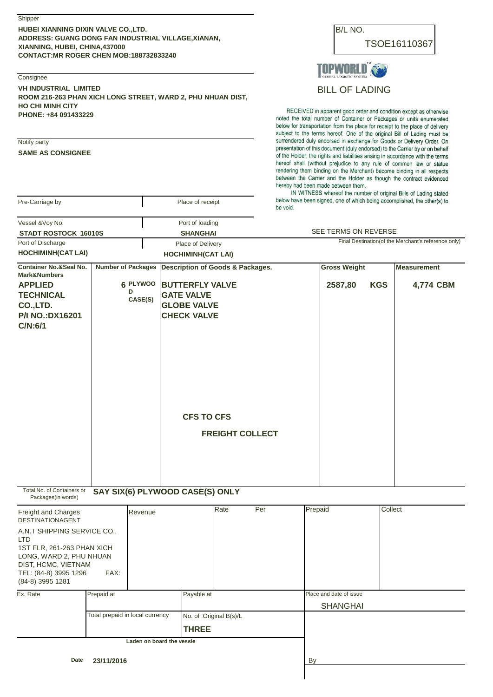#### **Shipper**

### **HUBEI XIANNING DIXIN VALVE CO.,LTD. ADDRESS: GUANG DONG FAN INDUSTRIAL VILLAGE,XIANAN, XIANNING, HUBEI, CHINA,437000 CONTACT:MR ROGER CHEN MOB:188732833240**

### **Consignee**

**VH INDUSTRIAL LIMITED ROOM 216-263 PHAN XICH LONG STREET, WARD 2, PHU NHUAN DIST, HO CHI MINH CITY PHONE: +84 091433229**

#### Notify party

Pre-Carriage by

#### **SAME AS CONSIGNEE**



BILL OF LADING

RECEIVED in apparent good order and condition except as otherwise noted the total number of Container or Packages or units enumerated below for transportation from the place for receipt to the place of delivery subject to the terms hereof. One of the original Bill of Lading must be surrendered duly endorsed in exchange for Goods or Delivery Order. On presentation of this document (duly endorsed) to the Carrier by or on behalf of the Holder, the rights and liabilities arising in accordance with the terms hereof shall (without prejudice to any rule of common law or statue rendering them binding on the Merchant) become binding in all respects between the Carrier and the Holder as though the contract evidenced hereby had been made between them.

IN WITNESS whereof the number of original Bills of Lading stated below have been signed, one of which being accomplished, the other(s) to be void

| Vessel & Voy No.                                                                                                                                                |                                 |                          | Port of loading                                                                                                                        |                        |     |                                                     |                                            |            |                    |  |
|-----------------------------------------------------------------------------------------------------------------------------------------------------------------|---------------------------------|--------------------------|----------------------------------------------------------------------------------------------------------------------------------------|------------------------|-----|-----------------------------------------------------|--------------------------------------------|------------|--------------------|--|
| STADT ROSTOCK 16010S                                                                                                                                            |                                 |                          | <b>SHANGHAI</b>                                                                                                                        |                        |     | SEE TERMS ON REVERSE                                |                                            |            |                    |  |
| Port of Discharge                                                                                                                                               |                                 |                          | Place of Delivery                                                                                                                      |                        |     | Final Destination(of the Merchant's reference only) |                                            |            |                    |  |
| <b>HOCHIMINH(CAT LAI)</b>                                                                                                                                       |                                 |                          | <b>HOCHIMINH(CAT LAI)</b>                                                                                                              |                        |     |                                                     |                                            |            |                    |  |
| <b>Container No.&amp;Seal No.</b><br><b>Number of Packages</b><br>Mark&Numbers                                                                                  |                                 |                          | <b>Description of Goods &amp; Packages.</b>                                                                                            |                        |     |                                                     | <b>Gross Weight</b>                        |            | <b>Measurement</b> |  |
| <b>APPLIED</b><br><b>TECHNICAL</b><br>CO.,LTD.<br><b>P/I NO.:DX16201</b><br>C/N:6/1                                                                             |                                 | 6 PLYWOO<br>D<br>CASE(S) | <b>BUTTERFLY VALVE</b><br><b>GATE VALVE</b><br><b>GLOBE VALVE</b><br><b>CHECK VALVE</b><br><b>CFS TO CFS</b><br><b>FREIGHT COLLECT</b> |                        |     |                                                     | 2587,80                                    | <b>KGS</b> | 4,774 CBM          |  |
| Total No. of Containers or<br>Packages(in words)                                                                                                                |                                 |                          | SAY SIX(6) PLYWOOD CASE(S) ONLY                                                                                                        |                        |     |                                                     |                                            |            |                    |  |
| Freight and Charges<br><b>DESTINATIONAGENT</b>                                                                                                                  |                                 | Revenue                  |                                                                                                                                        | Rate                   | Per | Prepaid                                             |                                            |            | Collect            |  |
| A.N.T SHIPPING SERVICE CO.,<br>LTD<br>1ST FLR, 261-263 PHAN XICH<br>LONG, WARD 2, PHU NHUAN<br>DIST, HCMC, VIETNAM<br>TEL: (84-8) 3995 1296<br>(84-8) 3995 1281 | FAX:                            |                          |                                                                                                                                        |                        |     |                                                     |                                            |            |                    |  |
| Ex. Rate                                                                                                                                                        | Prepaid at                      |                          | Payable at                                                                                                                             |                        |     |                                                     | Place and date of issue<br><b>SHANGHAI</b> |            |                    |  |
|                                                                                                                                                                 | Total prepaid in local currency |                          |                                                                                                                                        | No. of Original B(s)/L |     |                                                     |                                            |            |                    |  |
|                                                                                                                                                                 |                                 |                          | <b>THREE</b>                                                                                                                           |                        |     |                                                     |                                            |            |                    |  |

Place of receipt

**Laden on board the vessle**

 $Bv$